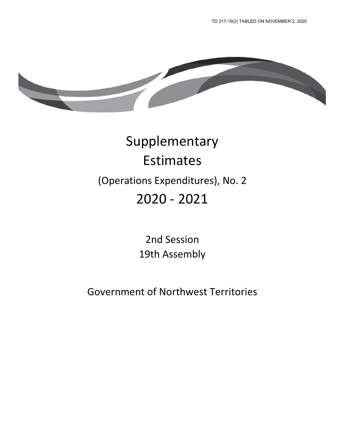

# Supplementary Estimates (Operations Expenditures), No. 2 2020 - 2021

2nd Session 19th Assembly

Government of Northwest Territories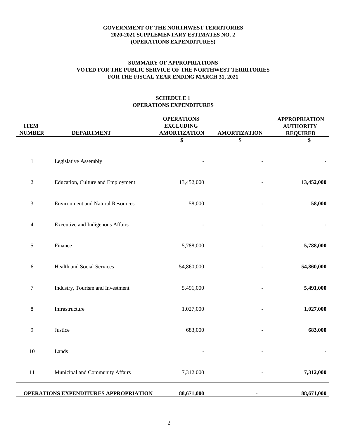## **FOR THE FISCAL YEAR ENDING MARCH 31, 2021 SUMMARY OF APPROPRIATIONS VOTED FOR THE PUBLIC SERVICE OF THE NORTHWEST TERRITORIES**

## **SCHEDULE 1 OPERATIONS EXPENDITURES**

| <b>ITEM</b><br><b>NUMBER</b> | <b>DEPARTMENT</b>                        | <b>OPERATIONS</b><br><b>EXCLUDING</b><br><b>AMORTIZATION</b> | <b>AMORTIZATION</b> | <b>APPROPRIATION</b><br><b>AUTHORITY</b><br><b>REQUIRED</b> |
|------------------------------|------------------------------------------|--------------------------------------------------------------|---------------------|-------------------------------------------------------------|
|                              |                                          | \$                                                           | \$                  | \$                                                          |
| $\mathbf{1}$                 | Legislative Assembly                     |                                                              |                     |                                                             |
| $\sqrt{2}$                   | Education, Culture and Employment        | 13,452,000                                                   |                     | 13,452,000                                                  |
| $\mathfrak{Z}$               | <b>Environment and Natural Resources</b> | 58,000                                                       |                     | 58,000                                                      |
| 4                            | <b>Executive and Indigenous Affairs</b>  |                                                              |                     |                                                             |
| $\sqrt{5}$                   | Finance                                  | 5,788,000                                                    |                     | 5,788,000                                                   |
| $\sqrt{6}$                   | Health and Social Services               | 54,860,000                                                   |                     | 54,860,000                                                  |
| $\boldsymbol{7}$             | Industry, Tourism and Investment         | 5,491,000                                                    |                     | 5,491,000                                                   |
| $\,8\,$                      | Infrastructure                           | 1,027,000                                                    |                     | 1,027,000                                                   |
| 9                            | Justice                                  | 683,000                                                      |                     | 683,000                                                     |
| $10\,$                       | Lands                                    |                                                              |                     |                                                             |
| $11\,$                       | Municipal and Community Affairs          | 7,312,000                                                    |                     | 7,312,000                                                   |
|                              | OPERATIONS EXPENDITURES APPROPRIATION    | 88,671,000                                                   |                     | 88,671,000                                                  |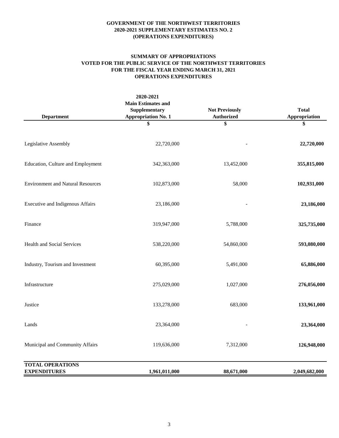#### **SUMMARY OF APPROPRIATIONS VOTED FOR THE PUBLIC SERVICE OF THE NORTHWEST TERRITORIES FOR THE FISCAL YEAR ENDING MARCH 31, 2021 OPERATIONS EXPENDITURES**

| <b>Department</b>                              | 2020-2021<br><b>Main Estimates and</b><br>Supplementary<br><b>Appropriation No. 1</b> | <b>Not Previously</b><br><b>Authorized</b> | <b>Total</b><br>Appropriation |
|------------------------------------------------|---------------------------------------------------------------------------------------|--------------------------------------------|-------------------------------|
|                                                | \$                                                                                    | \$                                         | \$                            |
| Legislative Assembly                           | 22,720,000                                                                            |                                            | 22,720,000                    |
| Education, Culture and Employment              | 342,363,000                                                                           | 13,452,000                                 | 355,815,000                   |
| <b>Environment and Natural Resources</b>       | 102,873,000                                                                           | 58,000                                     | 102,931,000                   |
| Executive and Indigenous Affairs               | 23,186,000                                                                            |                                            | 23,186,000                    |
| Finance                                        | 319,947,000                                                                           | 5,788,000                                  | 325,735,000                   |
| Health and Social Services                     | 538,220,000                                                                           | 54,860,000                                 | 593,080,000                   |
| Industry, Tourism and Investment               | 60,395,000                                                                            | 5,491,000                                  | 65,886,000                    |
| Infrastructure                                 | 275,029,000                                                                           | 1,027,000                                  | 276,056,000                   |
| Justice                                        | 133,278,000                                                                           | 683,000                                    | 133,961,000                   |
| Lands                                          | 23,364,000                                                                            |                                            | 23,364,000                    |
| Municipal and Community Affairs                | 119,636,000                                                                           | 7,312,000                                  | 126,948,000                   |
| <b>TOTAL OPERATIONS</b><br><b>EXPENDITURES</b> | 1,961,011,000                                                                         | 88,671,000                                 | 2,049,682,000                 |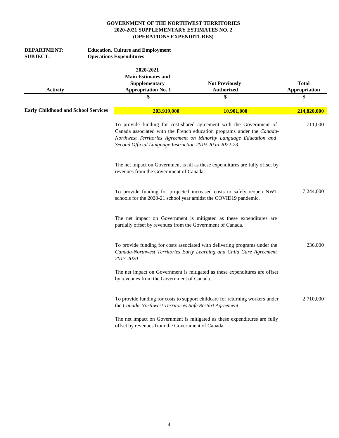| <b>DEPARTMENT:</b><br><b>SUBJECT:</b>      | <b>Operations Expenditures</b> | <b>Education, Culture and Employment</b>                                                    |                                                                                                                                                                                                                     |                                     |
|--------------------------------------------|--------------------------------|---------------------------------------------------------------------------------------------|---------------------------------------------------------------------------------------------------------------------------------------------------------------------------------------------------------------------|-------------------------------------|
| <b>Activity</b>                            |                                | 2020-2021<br><b>Main Estimates and</b><br>Supplementary<br><b>Appropriation No. 1</b><br>\$ | <b>Not Previously</b><br><b>Authorized</b><br>\$                                                                                                                                                                    | <b>Total</b><br>Appropriation<br>\$ |
|                                            |                                |                                                                                             |                                                                                                                                                                                                                     |                                     |
| <b>Early Childhood and School Services</b> |                                | 203,919,000                                                                                 | 10,901,000                                                                                                                                                                                                          | 214,820,000                         |
|                                            |                                | Second Official Language Instruction 2019-20 to 2022-23.                                    | To provide funding for cost-shared agreement with the Government of<br>Canada associated with the French education programs under the Canada-<br>Northwest Territories Agreement on Minority Language Education and | 711,000                             |
|                                            |                                | revenues from the Government of Canada.                                                     | The net impact on Government is nil as these expenditures are fully offset by                                                                                                                                       |                                     |
|                                            |                                |                                                                                             | To provide funding for projected increased costs to safely reopen NWT<br>schools for the 2020-21 school year amidst the COVID19 pandemic.                                                                           | 7,244,000                           |
|                                            |                                | partially offset by revenues from the Government of Canada.                                 | The net impact on Government is mitigated as these expenditures are                                                                                                                                                 |                                     |
|                                            | 2017-2020                      |                                                                                             | To provide funding for costs associated with delivering programs under the<br>Canada-Northwest Territories Early Learning and Child Care Agreement                                                                  | 236,000                             |
|                                            |                                | by revenues from the Government of Canada.                                                  | The net impact on Government is mitigated as these expenditures are offset                                                                                                                                          |                                     |
|                                            |                                | the Canada-Northwest Territories Safe Restart Agreement                                     | To provide funding for costs to support childcare for returning workers under                                                                                                                                       | 2,710,000                           |
|                                            |                                | offset by revenues from the Government of Canada.                                           | The net impact on Government is mitigated as these expenditures are fully                                                                                                                                           |                                     |
|                                            |                                |                                                                                             |                                                                                                                                                                                                                     |                                     |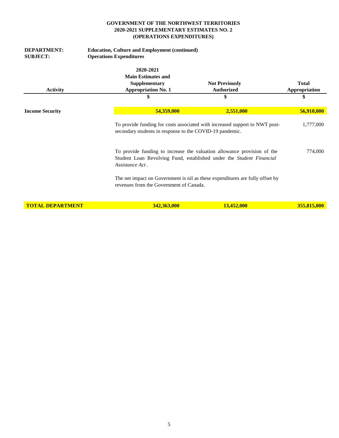| <b>DEPARTMENT:</b><br><b>SUBJECT:</b> | <b>Education, Culture and Employment (continued)</b><br><b>Operations Expenditures</b> |                                                                                                                                                 |                               |
|---------------------------------------|----------------------------------------------------------------------------------------|-------------------------------------------------------------------------------------------------------------------------------------------------|-------------------------------|
| <b>Activity</b>                       | 2020-2021<br><b>Main Estimates and</b><br>Supplementary<br><b>Appropriation No. 1</b>  | <b>Not Previously</b><br><b>Authorized</b>                                                                                                      | <b>Total</b><br>Appropriation |
|                                       | \$                                                                                     | \$                                                                                                                                              | \$                            |
| <b>Income Security</b>                | 54,359,000                                                                             | 2,551,000                                                                                                                                       | 56,910,000                    |
|                                       | secondary students in response to the COVID-19 pandemic.                               | To provide funding for costs associated with increased support to NWT post-                                                                     | 1,777,000                     |
|                                       | Assistance Act.                                                                        | To provide funding to increase the valuation allowance provision of the<br>Student Loan Revolving Fund, established under the Student Financial | 774,000                       |
|                                       | revenues from the Government of Canada.                                                | The net impact on Government is nil as these expenditures are fully offset by                                                                   |                               |
| <b>TOTAL DEPARTMENT</b>               | 342,363,000                                                                            | 13,452,000                                                                                                                                      | 355,815,000                   |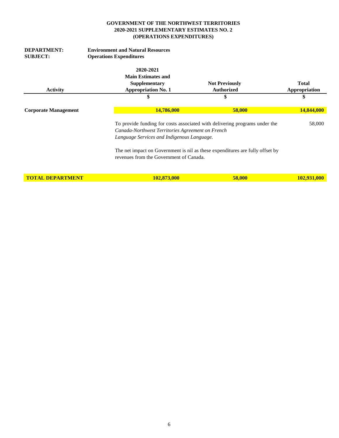| <b>DEPARTMENT:</b>          | <b>Environment and Natural Resources</b>         |                                                                               |               |
|-----------------------------|--------------------------------------------------|-------------------------------------------------------------------------------|---------------|
| <b>SUBJECT:</b>             | <b>Operations Expenditures</b>                   |                                                                               |               |
|                             | 2020-2021                                        |                                                                               |               |
|                             | <b>Main Estimates and</b>                        |                                                                               |               |
|                             | Supplementary                                    | <b>Not Previously</b>                                                         | <b>Total</b>  |
| <b>Activity</b>             | <b>Appropriation No. 1</b>                       | <b>Authorized</b>                                                             | Appropriation |
|                             |                                                  | \$                                                                            | \$            |
| <b>Corporate Management</b> | 14,786,000                                       | 58,000                                                                        | 14,844,000    |
|                             |                                                  | To provide funding for costs associated with delivering programs under the    | 58,000        |
|                             | Canada-Northwest Territories Agreement on French |                                                                               |               |
|                             | Language Services and Indigenous Language.       |                                                                               |               |
|                             | revenues from the Government of Canada.          | The net impact on Government is nil as these expenditures are fully offset by |               |
| <b>TOTAL DEPARTMENT</b>     | 102,873,000                                      | 58,000                                                                        | 102,931,000   |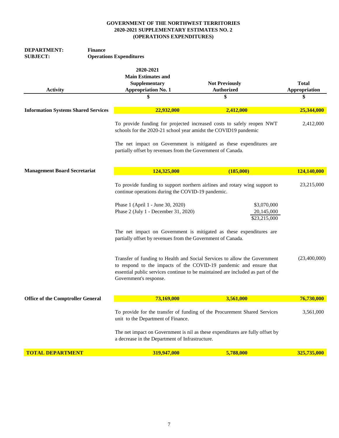| <b>DEPARTMENT:</b><br><b>Finance</b><br><b>SUBJECT:</b> | <b>Operations Expenditures</b>                                                                                                                                                                |                                                                                                                                                                                                                                    |                                     |
|---------------------------------------------------------|-----------------------------------------------------------------------------------------------------------------------------------------------------------------------------------------------|------------------------------------------------------------------------------------------------------------------------------------------------------------------------------------------------------------------------------------|-------------------------------------|
| <b>Activity</b>                                         | 2020-2021<br><b>Main Estimates and</b><br>Supplementary<br><b>Appropriation No. 1</b>                                                                                                         | <b>Not Previously</b><br><b>Authorized</b><br>\$                                                                                                                                                                                   | <b>Total</b><br>Appropriation<br>\$ |
| <b>Information Systems Shared Services</b>              | 22,932,000                                                                                                                                                                                    | 2,412,000                                                                                                                                                                                                                          | 25,344,000                          |
|                                                         | schools for the 2020-21 school year amidst the COVID19 pandemic<br>partially offset by revenues from the Government of Canada.                                                                | To provide funding for projected increased costs to safely reopen NWT<br>The net impact on Government is mitigated as these expenditures are                                                                                       | 2,412,000                           |
| <b>Management Board Secretariat</b>                     | 124,325,000                                                                                                                                                                                   | (185,000)                                                                                                                                                                                                                          | 124,140,000                         |
|                                                         | continue operations during the COVID-19 pandemic.<br>Phase 1 (April 1 - June 30, 2020)<br>Phase 2 (July 1 - December 31, 2020)<br>partially offset by revenues from the Government of Canada. | To provide funding to support northern airlines and rotary wing support to<br>\$3,070,000<br>20,145,000<br>\$23,215,000<br>The net impact on Government is mitigated as these expenditures are                                     | 23,215,000                          |
|                                                         | Government's response.                                                                                                                                                                        | Transfer of funding to Health and Social Services to allow the Government<br>to respond to the impacts of the COVID-19 pandemic and ensure that<br>essential public services continue to be maintained are included as part of the | (23,400,000)                        |
| <b>Office of the Comptroller General</b>                | 73,169,000                                                                                                                                                                                    | 3,561,000                                                                                                                                                                                                                          | 76,730,000                          |
|                                                         | unit to the Department of Finance.<br>a decrease in the Department of Infrastructure.                                                                                                         | To provide for the transfer of funding of the Procurement Shared Services<br>The net impact on Government is nil as these expenditures are fully offset by                                                                         | 3,561,000                           |
| <b>TOTAL DEPARTMENT</b>                                 | 319,947,000                                                                                                                                                                                   | 5,788,000                                                                                                                                                                                                                          | 325,735,000                         |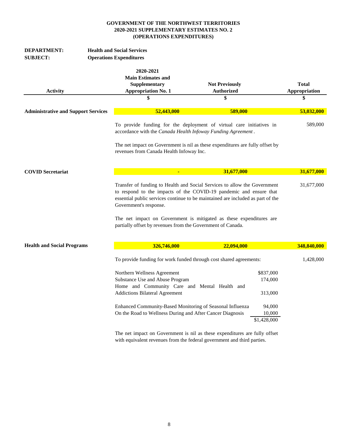| <b>DEPARTMENT:</b><br><b>SUBJECT:</b>      | <b>Health and Social Services</b><br><b>Operations Expenditures</b>                                                                                                                                                                                                                                                                                                                                |                                                  |                                                                    |                                     |
|--------------------------------------------|----------------------------------------------------------------------------------------------------------------------------------------------------------------------------------------------------------------------------------------------------------------------------------------------------------------------------------------------------------------------------------------------------|--------------------------------------------------|--------------------------------------------------------------------|-------------------------------------|
| <b>Activity</b>                            | 2020-2021<br><b>Main Estimates and</b><br>Supplementary<br><b>Appropriation No. 1</b><br>\$                                                                                                                                                                                                                                                                                                        | <b>Not Previously</b><br><b>Authorized</b><br>\$ |                                                                    | <b>Total</b><br>Appropriation<br>\$ |
| <b>Administrative and Support Services</b> | 52,443,000                                                                                                                                                                                                                                                                                                                                                                                         | 589,000                                          |                                                                    | 53,032,000                          |
|                                            | To provide funding for the deployment of virtual care initiatives in<br>accordance with the Canada Health Infoway Funding Agreement.<br>The net impact on Government is nil as these expenditures are fully offset by<br>revenues from Canada Health Infoway Inc.                                                                                                                                  |                                                  |                                                                    | 589,000                             |
| <b>COVID Secretariat</b>                   | $\blacksquare$                                                                                                                                                                                                                                                                                                                                                                                     | 31,677,000                                       |                                                                    | 31,677,000                          |
|                                            | Transfer of funding to Health and Social Services to allow the Government<br>to respond to the impacts of the COVID-19 pandemic and ensure that<br>essential public services continue to be maintained are included as part of the<br>Government's response.<br>The net impact on Government is mitigated as these expenditures are<br>partially offset by revenues from the Government of Canada. |                                                  |                                                                    | 31,677,000                          |
| <b>Health and Social Programs</b>          | 326,746,000                                                                                                                                                                                                                                                                                                                                                                                        | 22,094,000                                       |                                                                    | 348,840,000                         |
|                                            | To provide funding for work funded through cost shared agreements:<br>Northern Wellness Agreement<br>Substance Use and Abuse Program<br>Home and Community Care and Mental Health and<br><b>Addictions Bilateral Agreement</b><br>Enhanced Community-Based Monitoring of Seasonal Influenza<br>On the Road to Wellness During and After Cancer Diagnosis                                           |                                                  | \$837,000<br>174,000<br>313,000<br>94,000<br>10,000<br>\$1,428,000 | 1,428,000                           |

The net impact on Government is nil as these expenditures are fully offset with equivalent revenues from the federal government and third parties.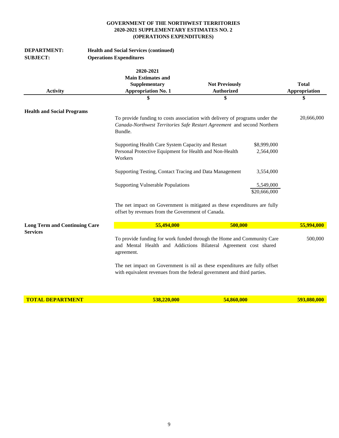| <b>DEPARTMENT:</b><br><b>SUBJECT:</b> | <b>Health and Social Services (continued)</b><br><b>Operations Expenditures</b>                                                                                   |                                            |                           |                               |
|---------------------------------------|-------------------------------------------------------------------------------------------------------------------------------------------------------------------|--------------------------------------------|---------------------------|-------------------------------|
| <b>Activity</b>                       | 2020-2021<br><b>Main Estimates and</b><br>Supplementary<br><b>Appropriation No. 1</b>                                                                             | <b>Not Previously</b><br><b>Authorized</b> |                           | <b>Total</b><br>Appropriation |
|                                       | \$                                                                                                                                                                | \$                                         |                           | \$                            |
| <b>Health and Social Programs</b>     |                                                                                                                                                                   |                                            |                           |                               |
|                                       | To provide funding to costs association with delivery of programs under the<br>Canada-Northwest Territories Safe Restart Agreement and second Northern<br>Bundle. |                                            |                           | 20,666,000                    |
|                                       | Supporting Health Care System Capacity and Restart                                                                                                                |                                            | \$8,999,000               |                               |
|                                       | Personal Protective Equipment for Health and Non-Health<br>Workers                                                                                                |                                            | 2,564,000                 |                               |
|                                       | Supporting Testing, Contact Tracing and Data Management                                                                                                           |                                            | 3,554,000                 |                               |
|                                       | <b>Supporting Vulnerable Populations</b>                                                                                                                          |                                            | 5,549,000<br>\$20,666,000 |                               |
|                                       | The net impact on Government is mitigated as these expenditures are fully<br>offset by revenues from the Government of Canada.                                    |                                            |                           |                               |
| <b>Long Term and Continuing Care</b>  | 55,494,000                                                                                                                                                        | 500,000                                    |                           | 55,994,000                    |
| <b>Services</b>                       | To provide funding for work funded through the Home and Community Care<br>and Mental Health and Addictions Bilateral Agreement cost shared<br>agreement.          |                                            |                           | 500,000                       |
|                                       | The net impact on Government is nil as these expenditures are fully offset<br>with equivalent revenues from the federal government and third parties.             |                                            |                           |                               |

**TOTAL DEPARTMENT 538,220,000 54,860,000 593,080,000**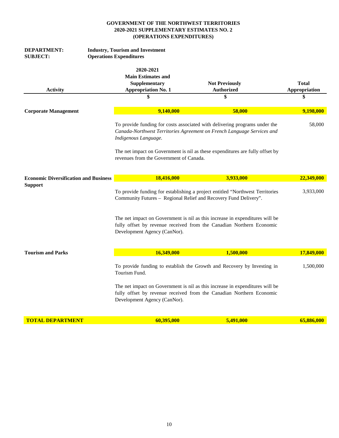| DEPARTMENT:                                  | <b>Industry, Tourism and Investment</b> |                                                                                                                                                      |                      |
|----------------------------------------------|-----------------------------------------|------------------------------------------------------------------------------------------------------------------------------------------------------|----------------------|
| <b>SUBJECT:</b>                              | <b>Operations Expenditures</b>          |                                                                                                                                                      |                      |
|                                              | 2020-2021                               |                                                                                                                                                      |                      |
|                                              | <b>Main Estimates and</b>               |                                                                                                                                                      |                      |
|                                              | Supplementary                           | <b>Not Previously</b>                                                                                                                                | <b>Total</b>         |
| <b>Activity</b>                              | <b>Appropriation No. 1</b>              | <b>Authorized</b>                                                                                                                                    | <b>Appropriation</b> |
|                                              |                                         | \$                                                                                                                                                   | \$                   |
| <b>Corporate Management</b>                  | 9,140,000                               | 58,000                                                                                                                                               | 9,198,000            |
|                                              | Indigenous Language.                    | To provide funding for costs associated with delivering programs under the<br>Canada-Northwest Territories Agreement on French Language Services and | 58,000               |
|                                              | revenues from the Government of Canada. | The net impact on Government is nil as these expenditures are fully offset by                                                                        |                      |
| <b>Economic Diversification and Business</b> | 18,416,000                              | 3,933,000                                                                                                                                            | 22,349,000           |
| <b>Support</b>                               |                                         | To provide funding for establishing a project entitled "Northwest Territories"<br>Community Futures - Regional Relief and Recovery Fund Delivery".   | 3,933,000            |
|                                              | Development Agency (CanNor).            | The net impact on Government is nil as this increase in expenditures will be<br>fully offset by revenue received from the Canadian Northern Economic |                      |
| <b>Tourism and Parks</b>                     | 16,349,000                              | 1,500,000                                                                                                                                            | 17,849,000           |
|                                              | Tourism Fund.                           | To provide funding to establish the Growth and Recovery by Investing in                                                                              | 1,500,000            |
|                                              | Development Agency (CanNor).            | The net impact on Government is nil as this increase in expenditures will be<br>fully offset by revenue received from the Canadian Northern Economic |                      |
| <b>TOTAL DEPARTMENT</b>                      | 60,395,000                              | 5,491,000                                                                                                                                            | 65,886,000           |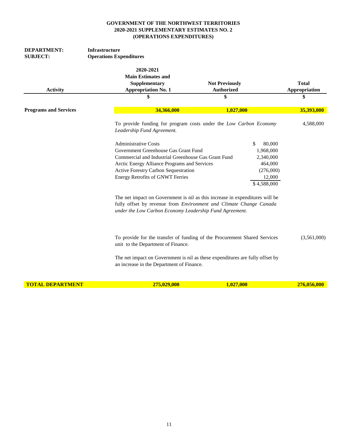| DEPARTMENT:<br><b>SUBJECT:</b> | <b>Infrastructure</b><br><b>Operations Expenditures</b>                                                                                                                                                                                                                                                                  |                                                                                                                                                                                                                                               |                                      |
|--------------------------------|--------------------------------------------------------------------------------------------------------------------------------------------------------------------------------------------------------------------------------------------------------------------------------------------------------------------------|-----------------------------------------------------------------------------------------------------------------------------------------------------------------------------------------------------------------------------------------------|--------------------------------------|
| <b>Activity</b>                | 2020-2021<br><b>Main Estimates and</b><br>Supplementary<br><b>Appropriation No. 1</b>                                                                                                                                                                                                                                    | <b>Not Previously</b><br><b>Authorized</b>                                                                                                                                                                                                    | <b>Total</b><br><b>Appropriation</b> |
|                                |                                                                                                                                                                                                                                                                                                                          | \$                                                                                                                                                                                                                                            |                                      |
| <b>Programs and Services</b>   | 34,366,000                                                                                                                                                                                                                                                                                                               | 1,027,000                                                                                                                                                                                                                                     | 35,393,000                           |
|                                | Leadership Fund Agreement.                                                                                                                                                                                                                                                                                               | To provide funding for program costs under the Low Carbon Economy                                                                                                                                                                             | 4,588,000                            |
|                                | <b>Administrative Costs</b><br>Government Greenhouse Gas Grant Fund<br>Commercial and Industrial Greenhouse Gas Grant Fund<br>Arctic Energy Alliance Programs and Services<br>Active Forestry Carbon Sequestration<br><b>Energy Retrofits of GNWT Ferries</b><br>under the Low Carbon Economy Leadership Fund Agreement. | \$<br>80,000<br>1,968,000<br>2,340,000<br>464,000<br>(276,000)<br>12,000<br>\$4,588,000<br>The net impact on Government is nil as this increase in expenditures will be<br>fully offset by revenue from Environment and Climate Change Canada |                                      |
|                                | unit to the Department of Finance.                                                                                                                                                                                                                                                                                       | To provide for the transfer of funding of the Procurement Shared Services<br>The net impact on Government is nil as these expenditures are fully offset by                                                                                    | (3,561,000)                          |
| <b>TOTAL DEPARTMENT</b>        | an increase in the Department of Finance.<br>275,029,000                                                                                                                                                                                                                                                                 | 1,027,000                                                                                                                                                                                                                                     | 276,056,000                          |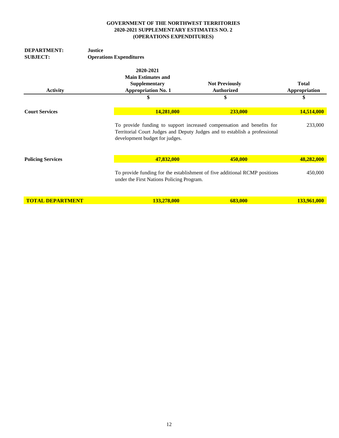| <b>DEPARTMENT:</b><br><b>SUBJECT:</b> | <b>Justice</b><br><b>Operations Expenditures</b>                                            |                                                                                                                                                     |                                     |
|---------------------------------------|---------------------------------------------------------------------------------------------|-----------------------------------------------------------------------------------------------------------------------------------------------------|-------------------------------------|
| <b>Activity</b>                       | 2020-2021<br><b>Main Estimates and</b><br>Supplementary<br><b>Appropriation No. 1</b><br>\$ | <b>Not Previously</b><br><b>Authorized</b><br>\$                                                                                                    | <b>Total</b><br>Appropriation<br>\$ |
| <b>Court Services</b>                 | <b>14,281,000</b>                                                                           | 233,000                                                                                                                                             | 14,514,000                          |
|                                       | development budget for judges.                                                              | To provide funding to support increased compensation and benefits for<br>Territorial Court Judges and Deputy Judges and to establish a professional | 233,000                             |
| <b>Policing Services</b>              | 47,832,000                                                                                  | 450,000                                                                                                                                             | 48,282,000                          |
|                                       | under the First Nations Policing Program.                                                   | To provide funding for the establishment of five additional RCMP positions                                                                          | 450,000                             |
| <b>TOTAL DEPARTMENT</b>               | 133,278,000                                                                                 | 683,000                                                                                                                                             | <b>133,961,000</b>                  |